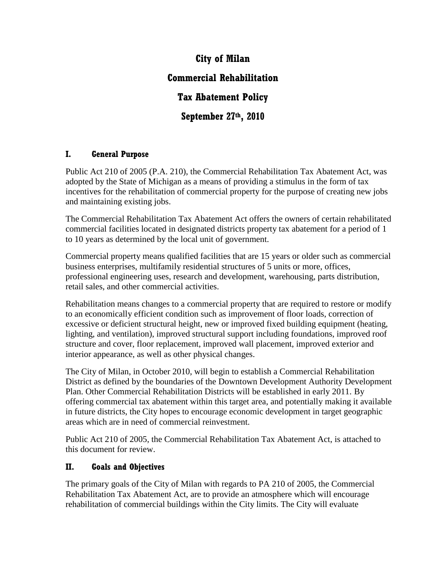# **City of Milan Commercial Rehabilitation Tax Abatement Policy September 27th, 2010**

# **I. General Purpose**

Public Act 210 of 2005 (P.A. 210), the Commercial Rehabilitation Tax Abatement Act, was adopted by the State of Michigan as a means of providing a stimulus in the form of tax incentives for the rehabilitation of commercial property for the purpose of creating new jobs and maintaining existing jobs.

The Commercial Rehabilitation Tax Abatement Act offers the owners of certain rehabilitated commercial facilities located in designated districts property tax abatement for a period of 1 to 10 years as determined by the local unit of government.

Commercial property means qualified facilities that are 15 years or older such as commercial business enterprises, multifamily residential structures of 5 units or more, offices, professional engineering uses, research and development, warehousing, parts distribution, retail sales, and other commercial activities.

Rehabilitation means changes to a commercial property that are required to restore or modify to an economically efficient condition such as improvement of floor loads, correction of excessive or deficient structural height, new or improved fixed building equipment (heating, lighting, and ventilation), improved structural support including foundations, improved roof structure and cover, floor replacement, improved wall placement, improved exterior and interior appearance, as well as other physical changes.

The City of Milan, in October 2010, will begin to establish a Commercial Rehabilitation District as defined by the boundaries of the Downtown Development Authority Development Plan. Other Commercial Rehabilitation Districts will be established in early 2011. By offering commercial tax abatement within this target area, and potentially making it available in future districts, the City hopes to encourage economic development in target geographic areas which are in need of commercial reinvestment.

Public Act 210 of 2005, the Commercial Rehabilitation Tax Abatement Act, is attached to this document for review.

#### **II. Goals and Objectives**

The primary goals of the City of Milan with regards to PA 210 of 2005, the Commercial Rehabilitation Tax Abatement Act, are to provide an atmosphere which will encourage rehabilitation of commercial buildings within the City limits. The City will evaluate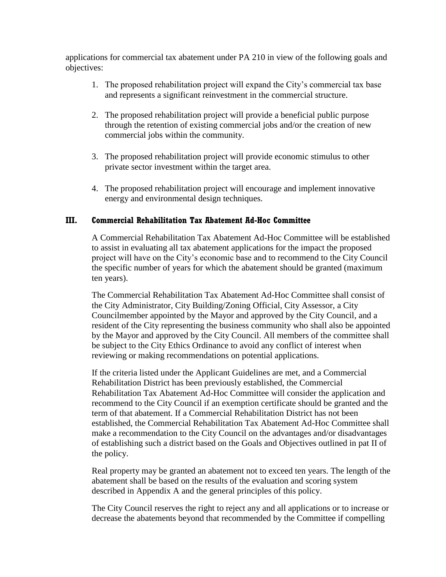applications for commercial tax abatement under PA 210 in view of the following goals and objectives:

- 1. The proposed rehabilitation project will expand the City's commercial tax base and represents a significant reinvestment in the commercial structure.
- 2. The proposed rehabilitation project will provide a beneficial public purpose through the retention of existing commercial jobs and/or the creation of new commercial jobs within the community.
- 3. The proposed rehabilitation project will provide economic stimulus to other private sector investment within the target area.
- 4. The proposed rehabilitation project will encourage and implement innovative energy and environmental design techniques.

#### **III. Commercial Rehabilitation Tax Abatement Ad-Hoc Committee**

A Commercial Rehabilitation Tax Abatement Ad-Hoc Committee will be established to assist in evaluating all tax abatement applications for the impact the proposed project will have on the City's economic base and to recommend to the City Council the specific number of years for which the abatement should be granted (maximum ten years).

The Commercial Rehabilitation Tax Abatement Ad-Hoc Committee shall consist of the City Administrator, City Building/Zoning Official, City Assessor, a City Councilmember appointed by the Mayor and approved by the City Council, and a resident of the City representing the business community who shall also be appointed by the Mayor and approved by the City Council. All members of the committee shall be subject to the City Ethics Ordinance to avoid any conflict of interest when reviewing or making recommendations on potential applications.

If the criteria listed under the Applicant Guidelines are met, and a Commercial Rehabilitation District has been previously established, the Commercial Rehabilitation Tax Abatement Ad-Hoc Committee will consider the application and recommend to the City Council if an exemption certificate should be granted and the term of that abatement. If a Commercial Rehabilitation District has not been established, the Commercial Rehabilitation Tax Abatement Ad-Hoc Committee shall make a recommendation to the City Council on the advantages and/or disadvantages of establishing such a district based on the Goals and Objectives outlined in pat II of the policy.

Real property may be granted an abatement not to exceed ten years. The length of the abatement shall be based on the results of the evaluation and scoring system described in Appendix A and the general principles of this policy.

The City Council reserves the right to reject any and all applications or to increase or decrease the abatements beyond that recommended by the Committee if compelling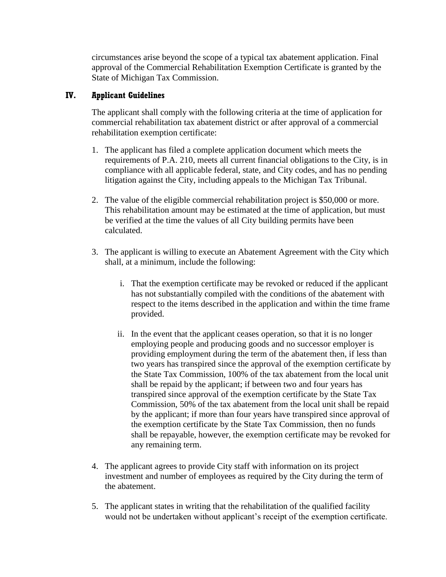circumstances arise beyond the scope of a typical tax abatement application. Final approval of the Commercial Rehabilitation Exemption Certificate is granted by the State of Michigan Tax Commission.

### **IV. Applicant Guidelines**

The applicant shall comply with the following criteria at the time of application for commercial rehabilitation tax abatement district or after approval of a commercial rehabilitation exemption certificate:

- 1. The applicant has filed a complete application document which meets the requirements of P.A. 210, meets all current financial obligations to the City, is in compliance with all applicable federal, state, and City codes, and has no pending litigation against the City, including appeals to the Michigan Tax Tribunal.
- 2. The value of the eligible commercial rehabilitation project is \$50,000 or more. This rehabilitation amount may be estimated at the time of application, but must be verified at the time the values of all City building permits have been calculated.
- 3. The applicant is willing to execute an Abatement Agreement with the City which shall, at a minimum, include the following:
	- i. That the exemption certificate may be revoked or reduced if the applicant has not substantially compiled with the conditions of the abatement with respect to the items described in the application and within the time frame provided.
	- ii. In the event that the applicant ceases operation, so that it is no longer employing people and producing goods and no successor employer is providing employment during the term of the abatement then, if less than two years has transpired since the approval of the exemption certificate by the State Tax Commission, 100% of the tax abatement from the local unit shall be repaid by the applicant; if between two and four years has transpired since approval of the exemption certificate by the State Tax Commission, 50% of the tax abatement from the local unit shall be repaid by the applicant; if more than four years have transpired since approval of the exemption certificate by the State Tax Commission, then no funds shall be repayable, however, the exemption certificate may be revoked for any remaining term.
- 4. The applicant agrees to provide City staff with information on its project investment and number of employees as required by the City during the term of the abatement.
- 5. The applicant states in writing that the rehabilitation of the qualified facility would not be undertaken without applicant's receipt of the exemption certificate.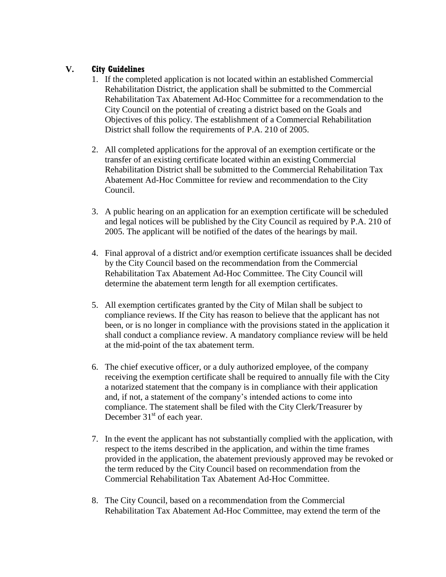## **V. City Guidelines**

- 1. If the completed application is not located within an established Commercial Rehabilitation District, the application shall be submitted to the Commercial Rehabilitation Tax Abatement Ad-Hoc Committee for a recommendation to the City Council on the potential of creating a district based on the Goals and Objectives of this policy. The establishment of a Commercial Rehabilitation District shall follow the requirements of P.A. 210 of 2005.
- 2. All completed applications for the approval of an exemption certificate or the transfer of an existing certificate located within an existing Commercial Rehabilitation District shall be submitted to the Commercial Rehabilitation Tax Abatement Ad-Hoc Committee for review and recommendation to the City Council.
- 3. A public hearing on an application for an exemption certificate will be scheduled and legal notices will be published by the City Council as required by P.A. 210 of 2005. The applicant will be notified of the dates of the hearings by mail.
- 4. Final approval of a district and/or exemption certificate issuances shall be decided by the City Council based on the recommendation from the Commercial Rehabilitation Tax Abatement Ad-Hoc Committee. The City Council will determine the abatement term length for all exemption certificates.
- 5. All exemption certificates granted by the City of Milan shall be subject to compliance reviews. If the City has reason to believe that the applicant has not been, or is no longer in compliance with the provisions stated in the application it shall conduct a compliance review. A mandatory compliance review will be held at the mid-point of the tax abatement term.
- 6. The chief executive officer, or a duly authorized employee, of the company receiving the exemption certificate shall be required to annually file with the City a notarized statement that the company is in compliance with their application and, if not, a statement of the company's intended actions to come into compliance. The statement shall be filed with the City Clerk/Treasurer by December  $31<sup>st</sup>$  of each year.
- 7. In the event the applicant has not substantially complied with the application, with respect to the items described in the application, and within the time frames provided in the application, the abatement previously approved may be revoked or the term reduced by the City Council based on recommendation from the Commercial Rehabilitation Tax Abatement Ad-Hoc Committee.
- 8. The City Council, based on a recommendation from the Commercial Rehabilitation Tax Abatement Ad-Hoc Committee, may extend the term of the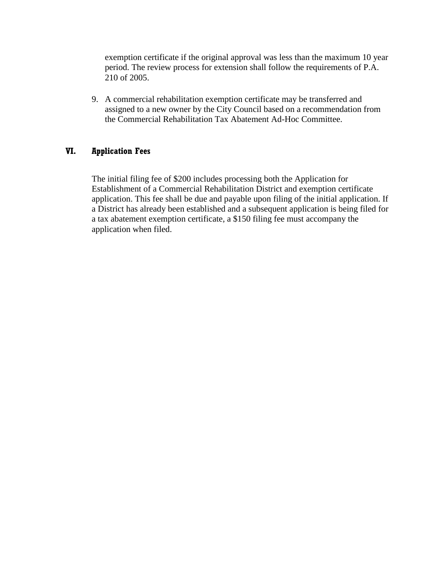exemption certificate if the original approval was less than the maximum 10 year period. The review process for extension shall follow the requirements of P.A. 210 of 2005.

9. A commercial rehabilitation exemption certificate may be transferred and assigned to a new owner by the City Council based on a recommendation from the Commercial Rehabilitation Tax Abatement Ad-Hoc Committee.

#### **VI. Application Fees**

The initial filing fee of \$200 includes processing both the Application for Establishment of a Commercial Rehabilitation District and exemption certificate application. This fee shall be due and payable upon filing of the initial application. If a District has already been established and a subsequent application is being filed for a tax abatement exemption certificate, a \$150 filing fee must accompany the application when filed.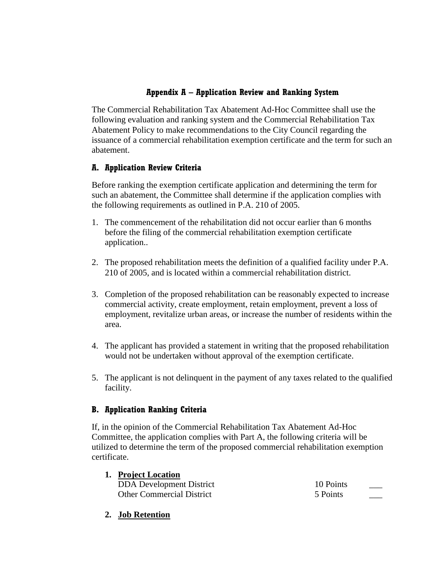# **Appendix A – Application Review and Ranking System**

The Commercial Rehabilitation Tax Abatement Ad-Hoc Committee shall use the following evaluation and ranking system and the Commercial Rehabilitation Tax Abatement Policy to make recommendations to the City Council regarding the issuance of a commercial rehabilitation exemption certificate and the term for such an abatement.

# **A. Application Review Criteria**

Before ranking the exemption certificate application and determining the term for such an abatement, the Committee shall determine if the application complies with the following requirements as outlined in P.A. 210 of 2005.

- 1. The commencement of the rehabilitation did not occur earlier than 6 months before the filing of the commercial rehabilitation exemption certificate application..
- 2. The proposed rehabilitation meets the definition of a qualified facility under P.A. 210 of 2005, and is located within a commercial rehabilitation district.
- 3. Completion of the proposed rehabilitation can be reasonably expected to increase commercial activity, create employment, retain employment, prevent a loss of employment, revitalize urban areas, or increase the number of residents within the area.
- 4. The applicant has provided a statement in writing that the proposed rehabilitation would not be undertaken without approval of the exemption certificate.
- 5. The applicant is not delinquent in the payment of any taxes related to the qualified facility.

# **B. Application Ranking Criteria**

If, in the opinion of the Commercial Rehabilitation Tax Abatement Ad-Hoc Committee, the application complies with Part A, the following criteria will be utilized to determine the term of the proposed commercial rehabilitation exemption certificate.

| 1. Project Location              |           |  |
|----------------------------------|-----------|--|
| <b>DDA</b> Development District  | 10 Points |  |
| <b>Other Commercial District</b> | 5 Points  |  |

**2. Job Retention**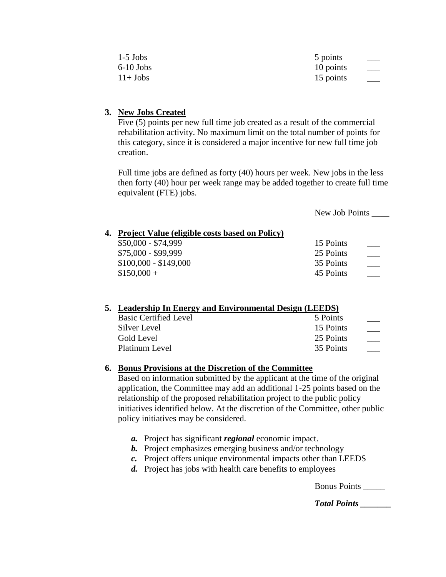| $1-5$ Jobs         | 5 points          |  |
|--------------------|-------------------|--|
| $6-10$ Jobs        | 10 points<br>$ -$ |  |
| $11+$ <b>J</b> obs | 15 points         |  |

#### **3. New Jobs Created**

Five (5) points per new full time job created as a result of the commercial rehabilitation activity. No maximum limit on the total number of points for this category, since it is considered a major incentive for new full time job creation.

Full time jobs are defined as forty (40) hours per week. New jobs in the less then forty (40) hour per week range may be added together to create full time equivalent (FTE) jobs.

|                                                   | New Job Points |  |
|---------------------------------------------------|----------------|--|
| 4. Project Value (eligible costs based on Policy) |                |  |
| $$50,000 - $74,999$                               | 15 Points      |  |
| \$75,000 - \$99,999                               | 25 Points      |  |
| $$100,000 - $149,000$                             | 35 Points      |  |
| $$150,000 +$                                      | 45 Points      |  |

| 5. Leadership In Energy and Environmental Design (LEEDS) |           |  |
|----------------------------------------------------------|-----------|--|
| <b>Basic Certified Level</b>                             | 5 Points  |  |
| Silver Level                                             | 15 Points |  |
| Gold Level                                               | 25 Points |  |
| Platinum Level                                           | 35 Points |  |

#### **6. Bonus Provisions at the Discretion of the Committee**

Based on information submitted by the applicant at the time of the original application, the Committee may add an additional 1-25 points based on the relationship of the proposed rehabilitation project to the public policy initiatives identified below. At the discretion of the Committee, other public policy initiatives may be considered.

- *a.* Project has significant *regional* economic impact.
- *b.* Project emphasizes emerging business and/or technology
- *c.* Project offers unique environmental impacts other than LEEDS
- *d.* Project has jobs with health care benefits to employees

Bonus Points \_\_\_\_\_

*Total Points \_\_\_\_\_\_\_*